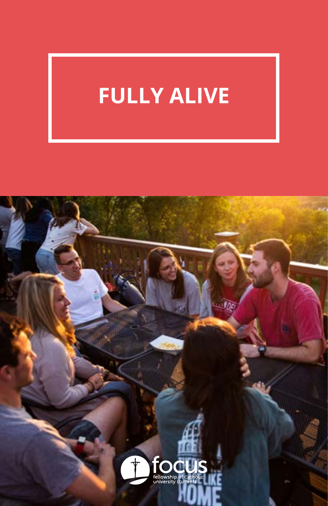# **FULLY ALIVE**

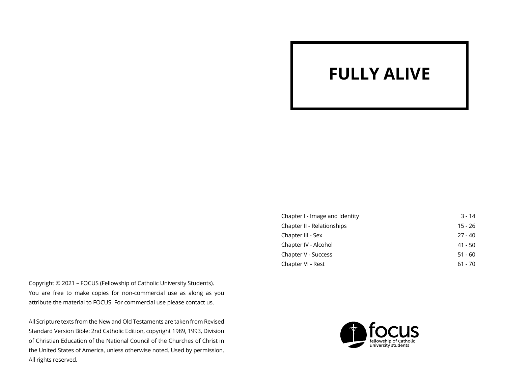## **FULLY ALIVE**

Copyright © 2021 – FOCUS (Fellowship of Catholic University Students). You are free to make copies for non-commercial use as along as you attribute the material to FOCUS. For commercial use please contact us.

All Scripture texts from the New and Old Testaments are taken from Revised Standard Version Bible: 2nd Catholic Edition, copyright 1989, 1993, Division of Christian Education of the National Council of the Churches of Christ in the United States of America, unless otherwise noted. Used by permission. All rights reserved.

| Chapter I - Image and Identity | $3 - 14$  |
|--------------------------------|-----------|
| Chapter II - Relationships     | $15 - 26$ |
| Chapter III - Sex              | $27 - 40$ |
| Chapter IV - Alcohol           | 41 - 50   |
| Chapter V - Success            | $51 - 60$ |
| Chapter VI - Rest              | $61 - 70$ |
|                                |           |

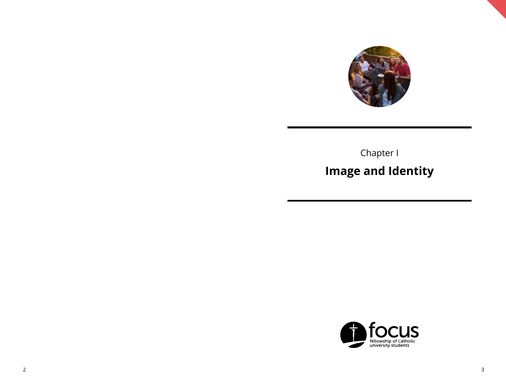

Chapter I **Image and Identity**

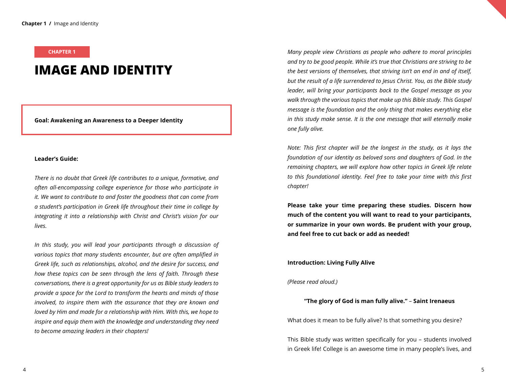#### **CHAPTER 1**

### **IMAGE AND IDENTITY**

**Goal: Awakening an Awareness to a Deeper Identity**

#### **Leader's Guide:**

*There is no doubt that Greek life contributes to a unique, formative, and often all-encompassing college experience for those who participate in it. We want to contribute to and foster the goodness that can come from a student's participation in Greek life throughout their time in college by integrating it into a relationship with Christ and Christ's vision for our lives.*

*In this study, you will lead your participants through a discussion of various topics that many students encounter, but are often amplified in Greek life, such as relationships, alcohol, and the desire for success, and how these topics can be seen through the lens of faith. Through these conversations, there is a great opportunity for us as Bible study leaders to provide a space for the Lord to transform the hearts and minds of those involved, to inspire them with the assurance that they are known and loved by Him and made for a relationship with Him. With this, we hope to inspire and equip them with the knowledge and understanding they need to become amazing leaders in their chapters!*

*Many people view Christians as people who adhere to moral principles and try to be good people. While it's true that Christians are striving to be the best versions of themselves, that striving isn't an end in and of itself, but the result of a life surrendered to Jesus Christ. You, as the Bible study leader, will bring your participants back to the Gospel message as you walk through the various topics that make up this Bible study. This Gospel message is the foundation and the only thing that makes everything else in this study make sense. It is the one message that will eternally make one fully alive.*

*Note: This first chapter will be the longest in the study, as it lays the foundation of our identity as beloved sons and daughters of God. In the remaining chapters, we will explore how other topics in Greek life relate to this foundational identity. Feel free to take your time with this first chapter!* 

**Please take your time preparing these studies. Discern how much of the content you will want to read to your participants, or summarize in your own words. Be prudent with your group, and feel free to cut back or add as needed!**

#### **Introduction: Living Fully Alive**

#### *(Please read aloud.)*

#### **"The glory of God is man fully alive."** – **Saint Irenaeus**

What does it mean to be fully alive? Is that something you desire?

This Bible study was written specifically for you – students involved in Greek life! College is an awesome time in many people's lives, and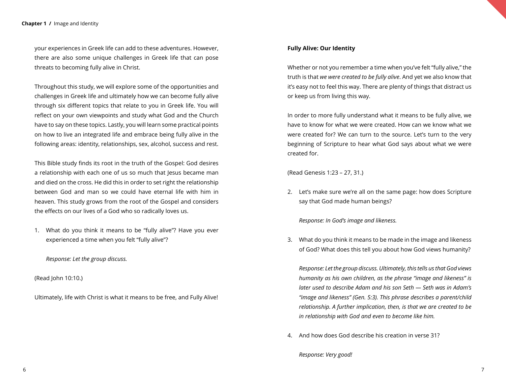your experiences in Greek life can add to these adventures. However, there are also some unique challenges in Greek life that can pose threats to becoming fully alive in Christ.

Throughout this study, we will explore some of the opportunities and challenges in Greek life and ultimately how we can become fully alive through six different topics that relate to you in Greek life. You will reflect on your own viewpoints and study what God and the Church have to say on these topics. Lastly, you will learn some practical points on how to live an integrated life and embrace being fully alive in the following areas: identity, relationships, sex, alcohol, success and rest.

This Bible study finds its root in the truth of the Gospel: God desires a relationship with each one of us so much that Jesus became man and died on the cross. He did this in order to set right the relationship between God and man so we could have eternal life with him in heaven. This study grows from the root of the Gospel and considers the effects on our lives of a God who so radically loves us.

1. What do you think it means to be "fully alive"? Have you ever experienced a time when you felt "fully alive"?

*Response: Let the group discuss.*

(Read John 10:10.)

Ultimately, life with Christ is what it means to be free, and Fully Alive!

#### **Fully Alive: Our Identity**

Whether or not you remember a time when you've felt "fully alive," the truth is that *we were created to be fully alive*. And yet we also know that it's easy not to feel this way. There are plenty of things that distract us or keep us from living this way.

In order to more fully understand what it means to be fully alive, we have to know for what we were created. How can we know what we were created for? We can turn to the source. Let's turn to the very beginning of Scripture to hear what God says about what we were created for.

(Read Genesis 1:23 – 27, 31.)

2. Let's make sure we're all on the same page: how does Scripture say that God made human beings?

*Response: In God's image and likeness.*

3. What do you think it means to be made in the image and likeness of God? What does this tell you about how God views humanity?

*Response: Let the group discuss. Ultimately, this tells us that God views humanity as his own children, as the phrase "image and likeness" is later used to describe Adam and his son Seth — Seth was in Adam's "image and likeness" (Gen. 5:3). This phrase describes a parent/child relationship. A further implication, then, is that we are created to be in relationship with God and even to become like him.*

4. And how does God describe his creation in verse 31?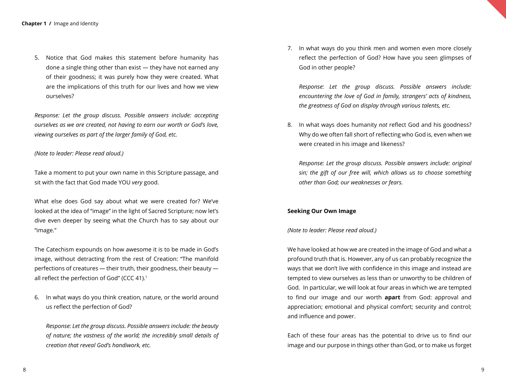5. Notice that God makes this statement before humanity has done a single thing other than exist — they have not earned any of their goodness; it was purely how they were created. What are the implications of this truth for our lives and how we view ourselves?

*Response: Let the group discuss. Possible answers include: accepting ourselves as we are created, not having to earn our worth or God's love, viewing ourselves as part of the larger family of God, etc.*

#### *(Note to leader: Please read aloud.)*

Take a moment to put your own name in this Scripture passage, and sit with the fact that God made YOU *very* good.

What else does God say about what we were created for? We've looked at the idea of "image" in the light of Sacred Scripture; now let's dive even deeper by seeing what the Church has to say about our "image."

The Catechism expounds on how awesome it is to be made in God's image, without detracting from the rest of Creation: "The manifold perfections of creatures *—* their truth, their goodness, their beauty all reflect the perfection of God" (CCC 41).<sup>1</sup>

6. In what ways do you think creation, nature, or the world around us reflect the perfection of God?

*Response: Let the group discuss. Possible answers include: the beauty of nature; the vastness of the world; the incredibly small details of creation that reveal God's handiwork, etc.*

7. In what ways do you think men and women even more closely reflect the perfection of God? How have you seen glimpses of God in other people?

*Response: Let the group discuss. Possible answers include: encountering the love of God in family, strangers' acts of kindness, the greatness of God on display through various talents, etc.*

8. In what ways does humanity *not* reflect God and his goodness? Why do we often fall short of reflecting who God is, even when we were created in his image and likeness?

*Response: Let the group discuss. Possible answers include: original sin; the gift of our free will, which allows us to choose something other than God; our weaknesses or fears.*

#### **Seeking Our Own Image**

#### *(Note to leader: Please read aloud.)*

We have looked at how we are created in the image of God and what a profound truth that is. However, any of us can probably recognize the ways that we don't live with confidence in this image and instead are tempted to view ourselves as less than or unworthy to be children of God. In particular, we will look at four areas in which we are tempted to find our image and our worth **apart** from God: approval and appreciation; emotional and physical comfort; security and control; and influence and power.

Each of these four areas has the potential to drive us to find our image and our purpose in things other than God, or to make us forget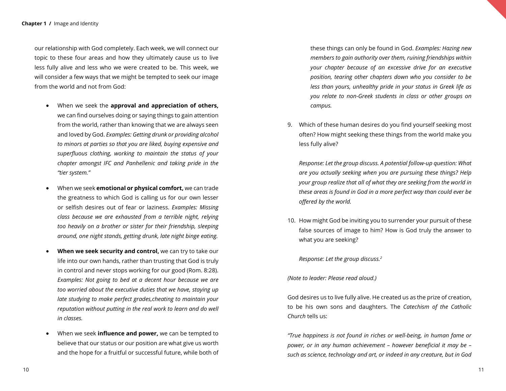our relationship with God completely. Each week, we will connect our topic to these four areas and how they ultimately cause us to live less fully alive and less who we were created to be. This week, we will consider a few ways that we might be tempted to seek our image from the world and not from God:

- When we seek the **approval and appreciation of others,** we can find ourselves doing or saying things to gain attention from the world, rather than knowing that we are always seen and loved by God. *Examples: Getting drunk or providing alcohol to minors at parties so that you are liked, buying expensive and superfluous clothing, working to maintain the status of your chapter amongst IFC and Panhellenic and taking pride in the "tier system."*
- **When we seek emotional or physical comfort, we can trade** the greatness to which God is calling us for our own lesser or selfish desires out of fear or laziness. *Examples: Missing class because we are exhausted from a terrible night, relying too heavily on a brother or sister for their friendship, sleeping around, one night stands, getting drunk, late night binge eating.*
- **When we seek security and control,** we can try to take our life into our own hands, rather than trusting that God is truly in control and never stops working for our good (Rom. 8:28). *Examples: Not going to bed at a decent hour because we are too worried about the executive duties that we have, staying up late studying to make perfect grades,cheating to maintain your reputation without putting in the real work to learn and do well in classes.*
- When we seek **influence and power,** we can be tempted to believe that our status or our position are what give us worth and the hope for a fruitful or successful future, while both of

these things can only be found in God. *Examples: Hazing new members to gain authority over them, ruining friendships within your chapter because of an excessive drive for an executive position, tearing other chapters down who you consider to be less than yours, unhealthy pride in your status in Greek life as you relate to non-Greek students in class or other groups on campus.*

9. Which of these human desires do you find yourself seeking most often? How might seeking these things from the world make you less fully alive?

*Response: Let the group discuss. A potential follow-up question: What are you actually seeking when you are pursuing these things? Help your group realize that all of what they are seeking from the world in these areas is found in God in a more perfect way than could ever be offered by the world.*

10. How might God be inviting you to surrender your pursuit of these false sources of image to him? How is God truly the answer to what you are seeking?

*Response: Let the group discuss.2*

*(Note to leader: Please read aloud.)*

God desires us to live fully alive. He created us as the prize of creation, to be his own sons and daughters. The *Catechism of the Catholic Church* tells us:

*"True happiness is not found in riches or well-being, in human fame or power, or in any human achievement – however beneficial it may be – such as science, technology and art, or indeed in any creature, but in God*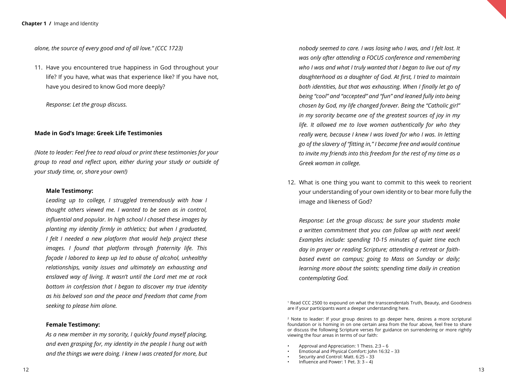*alone, the source of every good and of all love." (CCC 1723)*

11. Have you encountered true happiness in God throughout your life? If you have, what was that experience like? If you have not, have you desired to know God more deeply?

*Response: Let the group discuss.*

#### **Made in God's Image: Greek Life Testimonies**

*(Note to leader: Feel free to read aloud or print these testimonies for your group to read and reflect upon, either during your study or outside of your study time, or, share your own!)*

#### **Male Testimony:**

*Leading up to college, I struggled tremendously with how I thought others viewed me. I wanted to be seen as in control, influential and popular. In high school I chased these images by planting my identity firmly in athletics; but when I graduated, I felt I needed a new platform that would help project these images. I found that platform through fraternity life. This façade I labored to keep up led to abuse of alcohol, unhealthy relationships, vanity issues and ultimately an exhausting and enslaved way of living. It wasn't until the Lord met me at rock bottom in confession that I began to discover my true identity as his beloved son and the peace and freedom that came from seeking to please him alone.* 

#### **Female Testimony:**

*As a new member in my sorority, I quickly found myself placing, and even grasping for, my identity in the people I hung out with and the things we were doing. I knew I was created for more, but*  *nobody seemed to care. I was losing who I was, and I felt lost. It was only after attending a FOCUS conference and remembering who I was and what I truly wanted that I began to live out of my daughterhood as a daughter of God. At first, I tried to maintain both identities, but that was exhausting. When I finally let go of being "cool" and "accepted" and "fun" and leaned fully into being chosen by God, my life changed forever. Being the "Catholic girl" in my sorority became one of the greatest sources of joy in my life. It allowed me to love women authentically for who they really were, because I knew I was loved for who I was. In letting go of the slavery of "fitting in," I became free and would continue to invite my friends into this freedom for the rest of my time as a Greek woman in college.* 

12. What is one thing you want to commit to this week to reorient your understanding of your own identity or to bear more fully the image and likeness of God?

*Response: Let the group discuss; be sure your students make a written commitment that you can follow up with next week! Examples include: spending 10-15 minutes of quiet time each day in prayer or reading Scripture; attending a retreat or faithbased event on campus; going to Mass on Sunday or daily; learning more about the saints; spending time daily in creation contemplating God.*

1 Read CCC 2500 to expound on what the transcendentals Truth, Beauty, and Goodness are if your participants want a deeper understanding here.

2 Note to leader: If your group desires to go deeper here, desires a more scriptural foundation or is homing in on one certain area from the four above, feel free to share or discuss the following Scripture verses for guidance on surrendering or more rightly viewing the four areas in terms of our faith:

- Approval and Appreciation: 1 Thess. 2:3 6
- Emotional and Physical Comfort: John 16:32 33
- Security and Control: Matt. 6:25 33
- Influence and Power: 1 Pet. 3: 3 4)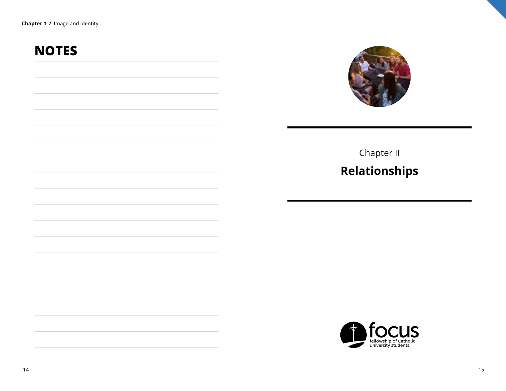## **NOTES**



## Chapter II **Relationships**

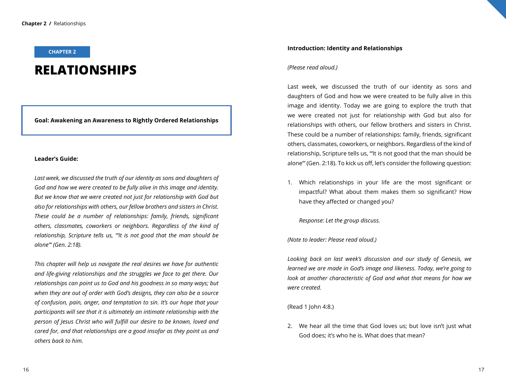#### **CHAPTER 2**

### **RELATIONSHIPS**

#### **Goal: Awakening an Awareness to Rightly Ordered Relationships**

#### **Leader's Guide:**

*Last week, we discussed the truth of our identity as sons and daughters of God and how we were created to be fully alive in this image and identity. But we know that we were created not just for relationship with God but also for relationships with others, our fellow brothers and sisters in Christ. These could be a number of relationships: family, friends, significant others, classmates, coworkers or neighbors. Regardless of the kind of relationship, Scripture tells us, "'It is not good that the man should be alone'" (Gen. 2:18).*

*This chapter will help us navigate the real desires we have for authentic and life-giving relationships and the struggles we face to get there. Our relationships can point us to God and his goodness in so many ways; but when they are out of order with God's designs, they can also be a source of confusion, pain, anger, and temptation to sin. It's our hope that your participants will see that it is ultimately an intimate relationship with the person of Jesus Christ who will fulfill our desire to be known, loved and cared for, and that relationships are a good insofar as they point us and others back to him.* 

#### **Introduction: Identity and Relationships**

#### *(Please read aloud.)*

Last week, we discussed the truth of our identity as sons and daughters of God and how we were created to be fully alive in this image and identity. Today we are going to explore the truth that we were created not just for relationship with God but also for relationships with others, our fellow brothers and sisters in Christ. These could be a number of relationships: family, friends, significant others, classmates, coworkers, or neighbors. Regardless of the kind of relationship, Scripture tells us, "'It is not good that the man should be alone'" (Gen. 2:18). To kick us off, let's consider the following question:

1. Which relationships in your life are the most significant or impactful? What about them makes them so significant? How have they affected or changed you?

*Response: Let the group discuss.*

*(Note to leader: Please read aloud.)*

*Looking back on last week's discussion and our study of Genesis, we learned we are made in God's image and likeness. Today, we're going to look at another characteristic of God and what that means for how we were created.*

(Read 1 John 4:8.)

2. We hear all the time that God loves us; but love isn't just what God does; it's who he is. What does that mean?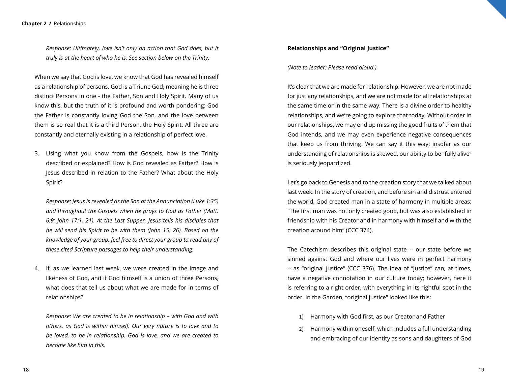*Response: Ultimately, love isn't only an action that God does, but it truly is at the heart of who he is. See section below on the Trinity.*

When we say that God is love, we know that God has revealed himself as a relationship of persons. God is a Triune God, meaning he is three distinct Persons in one - the Father, Son and Holy Spirit. Many of us know this, but the truth of it is profound and worth pondering: God the Father is constantly loving God the Son, and the love between them is so real that it is a third Person, the Holy Spirit. All three are constantly and eternally existing in a relationship of perfect love.

3. Using what you know from the Gospels, how is the Trinity described or explained? How is God revealed as Father? How is Jesus described in relation to the Father? What about the Holy Spirit?

*Response: Jesus is revealed as the Son at the Annunciation (Luke 1:35) and throughout the Gospels when he prays to God as Father (Matt. 6:9; John 17:1, 21). At the Last Supper, Jesus tells his disciples that he will send his Spirit to be with them (John 15: 26). Based on the knowledge of your group, feel free to direct your group to read any of these cited Scripture passages to help their understanding.* 

4. If, as we learned last week, we were created in the image and likeness of God, and if God himself is a union of three Persons, what does that tell us about what we are made for in terms of relationships?

*Response: We are created to be in relationship – with God and with others, as God is within himself. Our very nature is to love and to be loved, to be in relationship. God is love, and we are created to become like him in this.*

#### **Relationships and "Original Justice"**

*(Note to leader: Please read aloud.)*

It's clear that we are made for relationship. However, we are not made for just any relationships, and we are not made for all relationships at the same time or in the same way. There is a divine order to healthy relationships, and we're going to explore that today. Without order in our relationships, we may end up missing the good fruits of them that God intends, and we may even experience negative consequences that keep us from thriving. We can say it this way: insofar as our understanding of relationships is skewed, our ability to be "fully alive" is seriously jeopardized.

Let's go back to Genesis and to the creation story that we talked about last week. In the story of creation, and before sin and distrust entered the world, God created man in a state of harmony in multiple areas: "The first man was not only created good, but was also established in friendship with his Creator and in harmony with himself and with the creation around him" (CCC 374).

The Catechism describes this original state -- our state before we sinned against God and where our lives were in perfect harmony -- as "original justice" (CCC 376). The idea of "justice" can, at times, have a negative connotation in our culture today; however, here it is referring to a right order, with everything in its rightful spot in the order. In the Garden, "original justice" looked like this:

- 1) Harmony with God first, as our Creator and Father
- 2) Harmony within oneself, which includes a full understanding and embracing of our identity as sons and daughters of God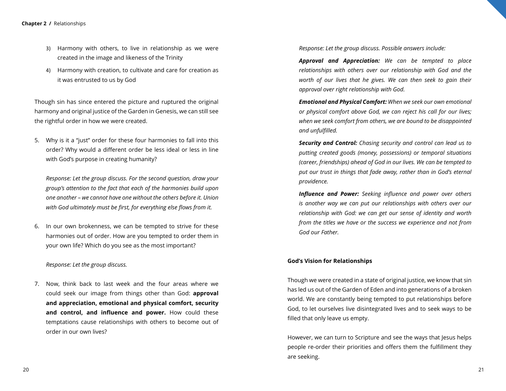- 3) Harmony with others, to live in relationship as we were created in the image and likeness of the Trinity
- 4) Harmony with creation, to cultivate and care for creation as it was entrusted to us by God

Though sin has since entered the picture and ruptured the original harmony and original justice of the Garden in Genesis, we can still see the rightful order in how we were created.

5. Why is it a "just" order for these four harmonies to fall into this order? Why would a different order be less ideal or less in line with God's purpose in creating humanity?

*Response: Let the group discuss. For the second question, draw your group's attention to the fact that each of the harmonies build upon one another – we cannot have one without the others before it. Union with God ultimately must be first, for everything else flows from it.*

6. In our own brokenness, we can be tempted to strive for these harmonies out of order. How are you tempted to order them in your own life? Which do you see as the most important?

*Response: Let the group discuss.*

7. Now, think back to last week and the four areas where we could seek our image from things other than God: **approval and appreciation, emotional and physical comfort, security and control, and influence and power.** How could these temptations cause relationships with others to become out of order in our own lives?

*Response: Let the group discuss. Possible answers include:*

*Approval and Appreciation: We can be tempted to place relationships with others over our relationship with God and the worth of our lives that he gives. We can then seek to gain their approval over right relationship with God.*

*Emotional and Physical Comfort: When we seek our own emotional or physical comfort above God, we can reject his call for our lives; when we seek comfort from others, we are bound to be disappointed and unfulfilled.*

*Security and Control: Chasing security and control can lead us to putting created goods (money, possessions) or temporal situations (career, friendships) ahead of God in our lives. We can be tempted to put our trust in things that fade away, rather than in God's eternal providence.*

*Influence and Power: Seeking influence and power over others is another way we can put our relationships with others over our relationship with God: we can get our sense of identity and worth from the titles we have or the success we experience and not from God our Father.* 

#### **God's Vision for Relationships**

Though we were created in a state of original justice, we know that sin has led us out of the Garden of Eden and into generations of a broken world. We are constantly being tempted to put relationships before God, to let ourselves live disintegrated lives and to seek ways to be filled that only leave us empty.

However, we can turn to Scripture and see the ways that Jesus helps people re-order their priorities and offers them the fulfillment they are seeking.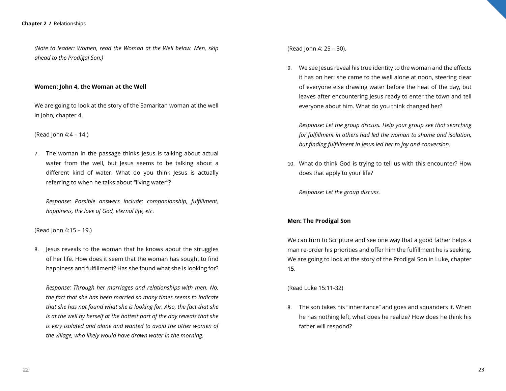*(Note to leader: Women, read the Woman at the Well below. Men, skip ahead to the Prodigal Son.)*

#### **Women: John 4, the Woman at the Well**

We are going to look at the story of the Samaritan woman at the well in John, chapter 4.

(Read John 4:4 – 14.)

7. The woman in the passage thinks Jesus is talking about actual water from the well, but Jesus seems to be talking about a different kind of water. What do you think Jesus is actually referring to when he talks about "living water"?

*Response: Possible answers include: companionship, fulfillment, happiness, the love of God, eternal life, etc.*

(Read John 4:15 – 19.)

8. Jesus reveals to the woman that he knows about the struggles of her life. How does it seem that the woman has sought to find happiness and fulfillment? Has she found what she is looking for?

*Response: Through her marriages and relationships with men. No, the fact that she has been married so many times seems to indicate that she has not found what she is looking for. Also, the fact that she is at the well by herself at the hottest part of the day reveals that she is very isolated and alone and wanted to avoid the other women of the village, who likely would have drawn water in the morning.*

(Read John 4: 25 – 30).

9. We see Jesus reveal his true identity to the woman and the effects it has on her: she came to the well alone at noon, steering clear of everyone else drawing water before the heat of the day, but leaves after encountering Jesus ready to enter the town and tell everyone about him. What do you think changed her?

*Response: Let the group discuss. Help your group see that searching for fulfillment in others had led the woman to shame and isolation, but finding fulfillment in Jesus led her to joy and conversion.*

10. What do think God is trying to tell us with this encounter? How does that apply to your life?

*Response: Let the group discuss.* 

#### **Men: The Prodigal Son**

We can turn to Scripture and see one way that a good father helps a man re-order his priorities and offer him the fulfillment he is seeking. We are going to look at the story of the Prodigal Son in Luke, chapter 15.

(Read Luke 15:11-32)

8. The son takes his "inheritance" and goes and squanders it. When he has nothing left, what does he realize? How does he think his father will respond?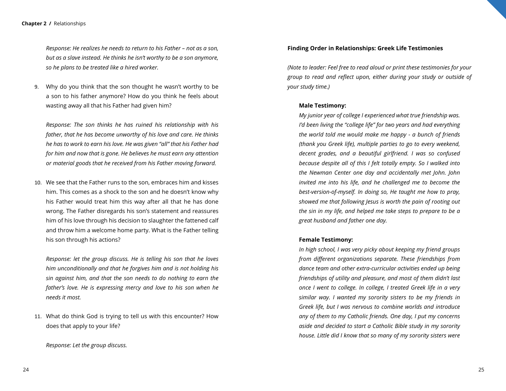#### **Chapter 2 /** Relationships

*Response: He realizes he needs to return to his Father – not as a son, but as a slave instead. He thinks he isn't worthy to be a son anymore, so he plans to be treated like a hired worker.* 

9. Why do you think that the son thought he wasn't worthy to be a son to his father anymore? How do you think he feels about wasting away all that his Father had given him?

*Response: The son thinks he has ruined his relationship with his father, that he has become unworthy of his love and care. He thinks he has to work to earn his love. He was given "all" that his Father had for him and now that is gone. He believes he must earn any attention or material goods that he received from his Father moving forward.* 

10. We see that the Father runs to the son, embraces him and kisses him. This comes as a shock to the son and he doesn't know why his Father would treat him this way after all that he has done wrong. The Father disregards his son's statement and reassures him of his love through his decision to slaughter the fattened calf and throw him a welcome home party. What is the Father telling his son through his actions?

*Response: let the group discuss. He is telling his son that he loves him unconditionally and that he forgives him and is not holding his sin against him, and that the son needs to do nothing to earn the father's love. He is expressing mercy and love to his son when he needs it most.* 

11. What do think God is trying to tell us with this encounter? How does that apply to your life?

*Response: Let the group discuss.* 

#### **Finding Order in Relationships: Greek Life Testimonies**

*(Note to leader: Feel free to read aloud or print these testimonies for your group to read and reflect upon, either during your study or outside of your study time.)*

#### **Male Testimony:**

*My junior year of college I experienced what true friendship was. I'd been living the "college life" for two years and had everything the world told me would make me happy - a bunch of friends (thank you Greek life), multiple parties to go to every weekend, decent grades, and a beautiful girlfriend. I was so confused because despite all of this I felt totally empty. So I walked into the Newman Center one day and accidentally met John. John invited me into his life, and he challenged me to become the best-version-of-myself. In doing so, He taught me how to pray, showed me that following Jesus is worth the pain of rooting out the sin in my life, and helped me take steps to prepare to be a great husband and father one day.*

#### **Female Testimony:**

*In high school, I was very picky about keeping my friend groups from different organizations separate. These friendships from dance team and other extra-curricular activities ended up being friendships of utility and pleasure, and most of them didn't last once I went to college. In college, I treated Greek life in a very similar way. I wanted my sorority sisters to be my friends in Greek life, but I was nervous to combine worlds and introduce any of them to my Catholic friends. One day, I put my concerns aside and decided to start a Catholic Bible study in my sorority house. Little did I know that so many of my sorority sisters were*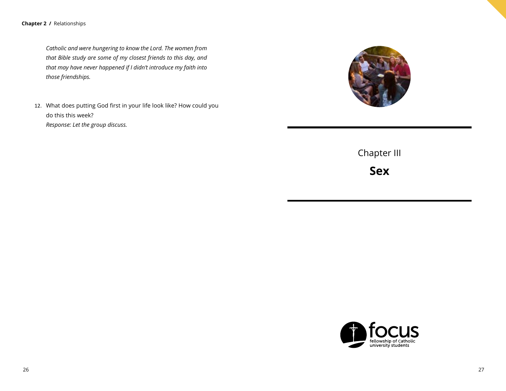**Chapter 2 /** Relationships

*Catholic and were hungering to know the Lord. The women from that Bible study are some of my closest friends to this day, and that may have never happened if I didn't introduce my faith into those friendships.* 

12. What does putting God first in your life look like? How could you do this this week? *Response: Let the group discuss.*



Chapter III

**Sex**

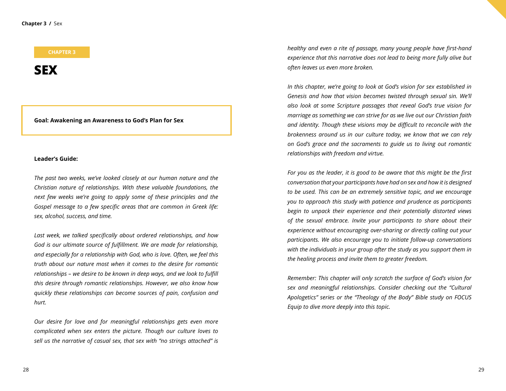#### **CHAPTER 3**

**SEX**

**Goal: Awakening an Awareness to God's Plan for Sex**

#### **Leader's Guide:**

*The past two weeks, we've looked closely at our human nature and the Christian nature of relationships. With these valuable foundations, the next few weeks we're going to apply some of these principles and the Gospel message to a few specific areas that are common in Greek life: sex, alcohol, success, and time.* 

*Last week, we talked specifically about ordered relationships, and how God is our ultimate source of fulfillment. We are made for relationship, and especially for a relationship with God, who is love. Often, we feel this truth about our nature most when it comes to the desire for romantic relationships – we desire to be known in deep ways, and we look to fulfill this desire through romantic relationships. However, we also know how quickly these relationships can become sources of pain, confusion and hurt.*

*Our desire for love and for meaningful relationships gets even more complicated when sex enters the picture. Though our culture loves to sell us the narrative of casual sex, that sex with "no strings attached" is*  *healthy and even a rite of passage, many young people have first-hand experience that this narrative does not lead to being more fully alive but often leaves us even more broken.* 

*In this chapter, we're going to look at God's vision for sex established in Genesis and how that vision becomes twisted through sexual sin. We'll also look at some Scripture passages that reveal God's true vision for marriage as something we can strive for as we live out our Christian faith and identity. Though these visions may be difficult to reconcile with the brokenness around us in our culture today, we know that we can rely on God's grace and the sacraments to guide us to living out romantic relationships with freedom and virtue.*

*For you as the leader, it is good to be aware that this might be the first conversation that your participants have had on sex and how it is designed to be used. This can be an extremely sensitive topic, and we encourage you to approach this study with patience and prudence as participants begin to unpack their experience and their potentially distorted views of the sexual embrace. Invite your participants to share about their experience without encouraging over-sharing or directly calling out your participants. We also encourage you to initiate follow-up conversations with the individuals in your group after the study as you support them in the healing process and invite them to greater freedom.*

*Remember: This chapter will only scratch the surface of God's vision for sex and meaningful relationships. Consider checking out the "Cultural Apologetics" series or the "Theology of the Body" Bible study on FOCUS Equip to dive more deeply into this topic.*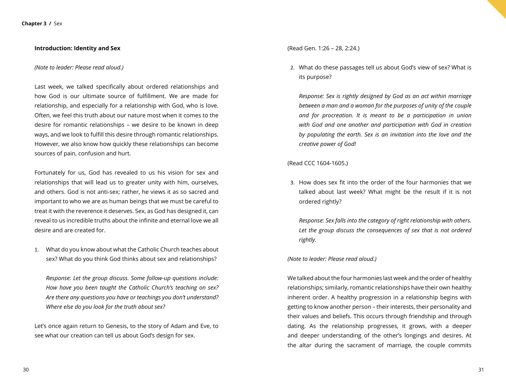#### **Introduction: Identity and Sex**

#### *(Note to leader: Please read aloud.)*

Last week, we talked specifically about ordered relationships and how God is our ultimate source of fulfillment. We are made for relationship, and especially for a relationship with God, who is love. Often, we feel this truth about our nature most when it comes to the desire for romantic relationships – we desire to be known in deep ways, and we look to fulfill this desire through romantic relationships. However, we also know how quickly these relationships can become sources of pain, confusion and hurt.

Fortunately for us, God has revealed to us his vision for sex and relationships that will lead us to greater unity with him, ourselves, and others. God is not anti-sex; rather, he views it as so sacred and important to who we are as human beings that we must be careful to treat it with the reverence it deserves. Sex, as God has designed it, can reveal to us incredible truths about the infinite and eternal love we all desire and are created for.

1. What do you know about what the Catholic Church teaches about sex? What do you think God thinks about sex and relationships?

*Response: Let the group discuss. Some follow-up questions include: How have you been taught the Catholic Church's teaching on sex? Are there any questions you have or teachings you don't understand? Where else do you look for the truth about sex?*

Let's once again return to Genesis, to the story of Adam and Eve, to see what our creation can tell us about God's design for sex.

(Read Gen. 1:26 – 28, 2:24.)

2. What do these passages tell us about God's view of sex? What is its purpose?

*Response: Sex is rightly designed by God as an act within marriage between a man and a woman for the purposes of unity of the couple and for procreation. It is meant to be a participation in union with God and one another and participation with God in creation by populating the earth. Sex is an invitation into the love and the creative power of God!*

(Read CCC 1604-1605.)

3. How does sex fit into the order of the four harmonies that we talked about last week? What might be the result if it is not ordered rightly?

*Response: Sex falls into the category of right relationship with others. Let the group discuss the consequences of sex that is not ordered rightly.*

#### *(Note to leader: Please read aloud.)*

We talked about the four harmonies last week and the order of healthy relationships; similarly, romantic relationships have their own healthy inherent order. A healthy progression in a relationship begins with getting to know another person – their interests, their personality and their values and beliefs. This occurs through friendship and through dating. As the relationship progresses, it grows, with a deeper and deeper understanding of the other's longings and desires. At the altar during the sacrament of marriage, the couple commits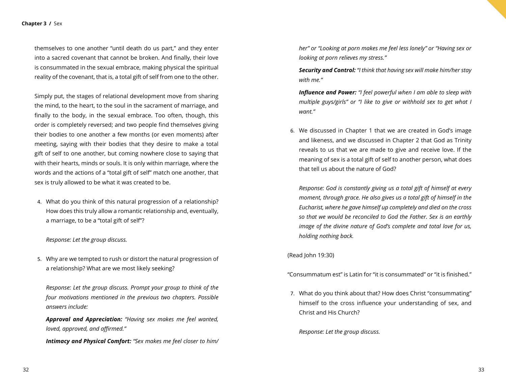themselves to one another "until death do us part," and they enter into a sacred covenant that cannot be broken. And finally, their love is consummated in the sexual embrace, making physical the spiritual reality of the covenant, that is, a total gift of self from one to the other.

Simply put, the stages of relational development move from sharing the mind, to the heart, to the soul in the sacrament of marriage, and finally to the body, in the sexual embrace. Too often, though, this order is completely reversed; and two people find themselves giving their bodies to one another a few months (or even moments) after meeting, saying with their bodies that they desire to make a total gift of self to one another, but coming nowhere close to saying that with their hearts, minds or souls. It is only within marriage, where the words and the actions of a "total gift of self" match one another, that sex is truly allowed to be what it was created to be.

4. What do you think of this natural progression of a relationship? How does this truly allow a romantic relationship and, eventually, a marriage, to be a "total gift of self"?

#### *Response: Let the group discuss.*

5. Why are we tempted to rush or distort the natural progression of a relationship? What are we most likely seeking?

*Response: Let the group discuss. Prompt your group to think of the four motivations mentioned in the previous two chapters. Possible answers include:* 

*Approval and Appreciation: "Having sex makes me feel wanted, loved, approved, and affirmed."*

*Intimacy and Physical Comfort: "Sex makes me feel closer to him/*

*her" or "Looking at porn makes me feel less lonely" or "Having sex or looking at porn relieves my stress."*

*Security and Control: "I think that having sex will make him/her stay with me."*

*Influence and Power: "I feel powerful when I am able to sleep with multiple guys/girls" or "I like to give or withhold sex to get what I want."* 

6. We discussed in Chapter 1 that we are created in God's image and likeness, and we discussed in Chapter 2 that God as Trinity reveals to us that we are made to give and receive love. If the meaning of sex is a total gift of self to another person, what does that tell us about the nature of God?

*Response: God is constantly giving us a total gift of himself at every moment, through grace. He also gives us a total gift of himself in the Eucharist, where he gave himself up completely and died on the cross so that we would be reconciled to God the Father. Sex is an earthly image of the divine nature of God's complete and total love for us, holding nothing back.*

(Read John 19:30)

"Consummatum est" is Latin for "it is consummated" or "it is finished."

7. What do you think about that? How does Christ "consummating" himself to the cross influence your understanding of sex, and Christ and His Church?

*Response: Let the group discuss.*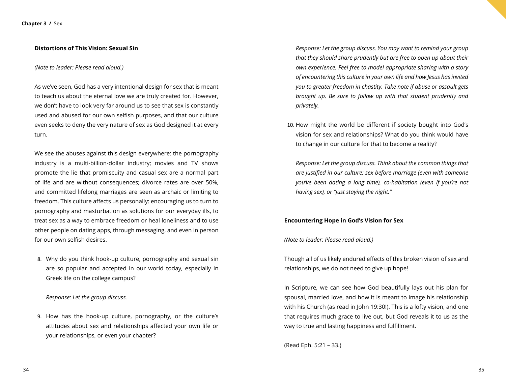#### **Distortions of This Vision: Sexual Sin**

#### *(Note to leader: Please read aloud.)*

As we've seen, God has a very intentional design for sex that is meant to teach us about the eternal love we are truly created for. However, we don't have to look very far around us to see that sex is constantly used and abused for our own selfish purposes, and that our culture even seeks to deny the very nature of sex as God designed it at every turn.

We see the abuses against this design everywhere: the pornography industry is a multi-billion-dollar industry; movies and TV shows promote the lie that promiscuity and casual sex are a normal part of life and are without consequences; divorce rates are over 50%, and committed lifelong marriages are seen as archaic or limiting to freedom. This culture affects us personally: encouraging us to turn to pornography and masturbation as solutions for our everyday ills, to treat sex as a way to embrace freedom or heal loneliness and to use other people on dating apps, through messaging, and even in person for our own selfish desires.

8. Why do you think hook-up culture, pornography and sexual sin are so popular and accepted in our world today, especially in Greek life on the college campus?

*Response: Let the group discuss.*

9. How has the hook-up culture, pornography, or the culture's attitudes about sex and relationships affected your own life or your relationships, or even your chapter?

*Response: Let the group discuss. You may want to remind your group that they should share prudently but are free to open up about their own experience. Feel free to model appropriate sharing with a story of encountering this culture in your own life and how Jesus has invited you to greater freedom in chastity. Take note if abuse or assault gets brought up. Be sure to follow up with that student prudently and privately.* 

10. How might the world be different if society bought into God's vision for sex and relationships? What do you think would have to change in our culture for that to become a reality?

*Response: Let the group discuss. Think about the common things that are justified in our culture: sex before marriage (even with someone you've been dating a long time), co-habitation (even if you're not having sex), or "just staying the night."*

#### **Encountering Hope in God's Vision for Sex**

*(Note to leader: Please read aloud.)*

Though all of us likely endured effects of this broken vision of sex and relationships, we do not need to give up hope!

In Scripture, we can see how God beautifully lays out his plan for spousal, married love, and how it is meant to image his relationship with his Church (as read in John 19:30!). This is a lofty vision, and one that requires much grace to live out, but God reveals it to us as the way to true and lasting happiness and fulfillment.

(Read Eph. 5:21 – 33.)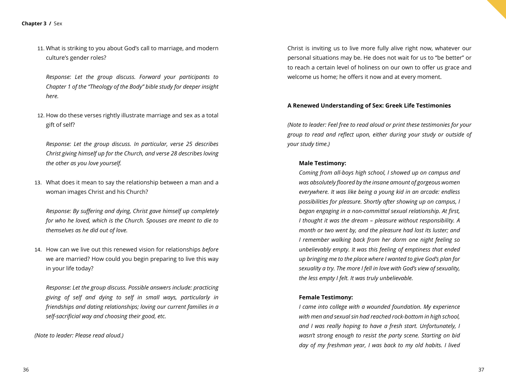11. What is striking to you about God's call to marriage, and modern culture's gender roles?

*Response: Let the group discuss. Forward your participants to Chapter 1 of the "Theology of the Body" bible study for deeper insight here.*

12. How do these verses rightly illustrate marriage and sex as a total gift of self?

*Response: Let the group discuss. In particular, verse 25 describes Christ giving himself up for the Church, and verse 28 describes loving the other as you love yourself.*

13. What does it mean to say the relationship between a man and a woman images Christ and his Church?

*Response: By suffering and dying, Christ gave himself up completely for who he loved, which is the Church. Spouses are meant to die to themselves as he did out of love.*

14. How can we live out this renewed vision for relationships *before* we are married? How could you begin preparing to live this way in your life today?

*Response: Let the group discuss. Possible answers include: practicing giving of self and dying to self in small ways, particularly in friendships and dating relationships; loving our current families in a self-sacrificial way and choosing their good, etc.*

*(Note to leader: Please read aloud.)*

Christ is inviting us to live more fully alive right now, whatever our personal situations may be. He does not wait for us to "be better" or to reach a certain level of holiness on our own to offer us grace and welcome us home; he offers it now and at every moment.

#### **A Renewed Understanding of Sex: Greek Life Testimonies**

*(Note to leader: Feel free to read aloud or print these testimonies for your group to read and reflect upon, either during your study or outside of your study time.)*

#### **Male Testimony:**

*Coming from all-boys high school, I showed up on campus and was absolutely floored by the insane amount of gorgeous women everywhere. It was like being a young kid in an arcade: endless possibilities for pleasure. Shortly after showing up on campus, I began engaging in a non-committal sexual relationship. At first, I thought it was the dream – pleasure without responsibility. A month or two went by, and the pleasure had lost its luster; and I remember walking back from her dorm one night feeling so unbelievably empty. It was this feeling of emptiness that ended up bringing me to the place where I wanted to give God's plan for sexuality a try. The more I fell in love with God's view of sexuality, the less empty I felt. It was truly unbelievable.*

#### **Female Testimony:**

*I came into college with a wounded foundation. My experience with men and sexual sin had reached rock-bottom in high school, and I was really hoping to have a fresh start. Unfortunately, I wasn't strong enough to resist the party scene. Starting on bid day of my freshman year, I was back to my old habits. I lived*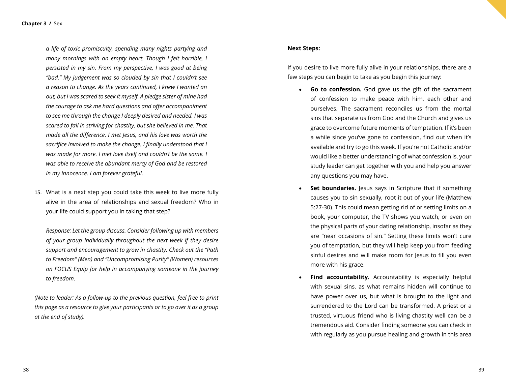*a life of toxic promiscuity, spending many nights partying and many mornings with an empty heart. Though I felt horrible, I persisted in my sin. From my perspective, I was good at being "bad." My judgement was so clouded by sin that I couldn't see a reason to change. As the years continued, I knew I wanted an out, but I was scared to seek it myself. A pledge sister of mine had the courage to ask me hard questions and offer accompaniment to see me through the change I deeply desired and needed. I was scared to fail in striving for chastity, but she believed in me. That made all the difference. I met Jesus, and his love was worth the sacrifice involved to make the change. I finally understood that I was made for more. I met love itself and couldn't be the same. I was able to receive the abundant mercy of God and be restored in my innocence. I am forever grateful.*

15. What is a next step you could take this week to live more fully alive in the area of relationships and sexual freedom? Who in your life could support you in taking that step?

*Response: Let the group discuss. Consider following up with members of your group individually throughout the next week if they desire support and encouragement to grow in chastity. Check out the "Path to Freedom" (Men) and "Uncompromising Purity" (Women) resources on FOCUS Equip for help in accompanying someone in the journey to freedom.*

*(Note to leader: As a follow-up to the previous question, feel free to print this page as a resource to give your participants or to go over it as a group at the end of study).*

#### **Next Steps:**

If you desire to live more fully alive in your relationships, there are a few steps you can begin to take as you begin this journey:

- • **Go to confession.** God gave us the gift of the sacrament of confession to make peace with him, each other and ourselves. The sacrament reconciles us from the mortal sins that separate us from God and the Church and gives us grace to overcome future moments of temptation. If it's been a while since you've gone to confession, find out when it's available and try to go this week. If you're not Catholic and/or would like a better understanding of what confession is, your study leader can get together with you and help you answer any questions you may have.
- **Set boundaries.** Jesus says in Scripture that if something causes you to sin sexually, root it out of your life (Matthew 5:27-30). This could mean getting rid of or setting limits on a book, your computer, the TV shows you watch, or even on the physical parts of your dating relationship, insofar as they are "near occasions of sin." Setting these limits won't cure you of temptation, but they will help keep you from feeding sinful desires and will make room for Jesus to fill you even more with his grace.
- **Find accountability.** Accountability is especially helpful with sexual sins, as what remains hidden will continue to have power over us, but what is brought to the light and surrendered to the Lord can be transformed. A priest or a trusted, virtuous friend who is living chastity well can be a tremendous aid. Consider finding someone you can check in with regularly as you pursue healing and growth in this area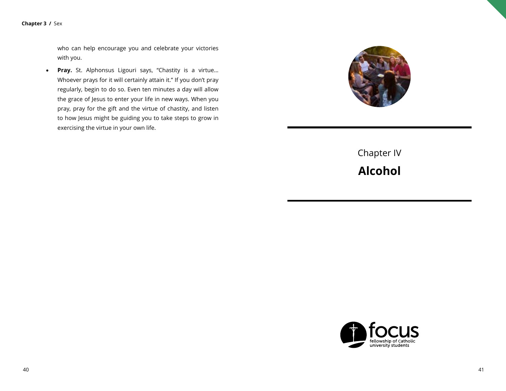who can help encourage you and celebrate your victories with you.

• **Pray.** St. Alphonsus Ligouri says, "Chastity is a virtue… Whoever prays for it will certainly attain it." If you don't pray regularly, begin to do so. Even ten minutes a day will allow the grace of Jesus to enter your life in new ways. When you pray, pray for the gift and the virtue of chastity, and listen to how Jesus might be guiding you to take steps to grow in exercising the virtue in your own life.



Chapter IV **Alcohol**

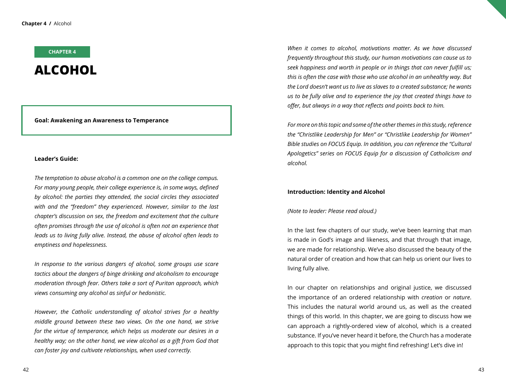#### **CHAPTER 4**

## **ALCOHOL**

#### **Goal: Awakening an Awareness to Temperance**

#### **Leader's Guide:**

*The temptation to abuse alcohol is a common one on the college campus. For many young people, their college experience is, in some ways, defined by alcohol: the parties they attended, the social circles they associated with and the "freedom" they experienced. However, similar to the last chapter's discussion on sex, the freedom and excitement that the culture often promises through the use of alcohol is often not an experience that leads us to living fully alive. Instead, the abuse of alcohol often leads to emptiness and hopelessness.*

*In response to the various dangers of alcohol, some groups use scare tactics about the dangers of binge drinking and alcoholism to encourage moderation through fear. Others take a sort of Puritan approach, which views consuming any alcohol as sinful or hedonistic.* 

*However, the Catholic understanding of alcohol strives for a healthy middle ground between these two views. On the one hand, we strive for the virtue of temperance, which helps us moderate our desires in a healthy way; on the other hand, we view alcohol as a gift from God that can foster joy and cultivate relationships, when used correctly.* 

*When it comes to alcohol, motivations matter. As we have discussed frequently throughout this study, our human motivations can cause us to seek happiness and worth in people or in things that can never fulfill us; this is often the case with those who use alcohol in an unhealthy way. But the Lord doesn't want us to live as slaves to a created substance; he wants us to be fully alive and to experience the joy that created things have to offer, but always in a way that reflects and points back to him.*

*For more on this topic and some of the other themes in this study, reference the "Christlike Leadership for Men" or "Christlike Leadership for Women" Bible studies on FOCUS Equip. In addition, you can reference the "Cultural Apologetics" series on FOCUS Equip for a discussion of Catholicism and alcohol.* 

#### **Introduction: Identity and Alcohol**

#### *(Note to leader: Please read aloud.)*

In the last few chapters of our study, we've been learning that man is made in God's image and likeness, and that through that image, we are made for relationship. We've also discussed the beauty of the natural order of creation and how that can help us orient our lives to living fully alive.

In our chapter on relationships and original justice, we discussed the importance of an ordered relationship with *creation* or *nature*. This includes the natural world around us, as well as the created things of this world. In this chapter, we are going to discuss how we can approach a rightly-ordered view of alcohol, which is a created substance. If you've never heard it before, the Church has a moderate approach to this topic that you might find refreshing! Let's dive in!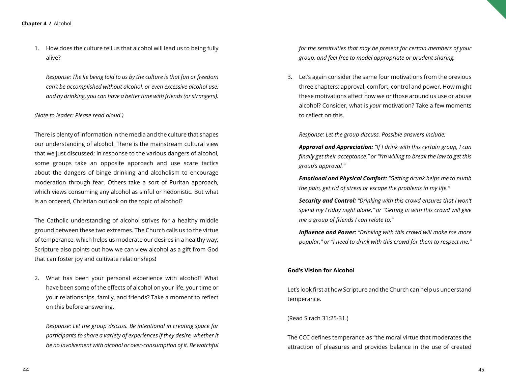1. How does the culture tell us that alcohol will lead us to being fully alive?

*Response: The lie being told to us by the culture is that fun or freedom can't be accomplished without alcohol, or even excessive alcohol use, and by drinking, you can have a better time with friends (or strangers).*

#### *(Note to leader: Please read aloud.)*

There is plenty of information in the media and the culture that shapes our understanding of alcohol. There is the mainstream cultural view that we just discussed; in response to the various dangers of alcohol, some groups take an opposite approach and use scare tactics about the dangers of binge drinking and alcoholism to encourage moderation through fear. Others take a sort of Puritan approach, which views consuming any alcohol as sinful or hedonistic. But what is an ordered, Christian outlook on the topic of alcohol?

The Catholic understanding of alcohol strives for a healthy middle ground between these two extremes. The Church calls us to the virtue of temperance, which helps us moderate our desires in a healthy way; Scripture also points out how we can view alcohol as a gift from God that can foster joy and cultivate relationships!

2. What has been your personal experience with alcohol? What have been some of the effects of alcohol on your life, your time or your relationships, family, and friends? Take a moment to reflect on this before answering.

*Response: Let the group discuss. Be intentional in creating space for participants to share a variety of experiences if they desire, whether it be no involvement with alcohol or over-consumption of it. Be watchful*  *for the sensitivities that may be present for certain members of your group, and feel free to model appropriate or prudent sharing.*

3. Let's again consider the same four motivations from the previous three chapters: approval, comfort, control and power. How might these motivations affect how we or those around us use or abuse alcohol? Consider, what is *your* motivation? Take a few moments to reflect on this.

*Response: Let the group discuss. Possible answers include:* 

*Approval and Appreciation: "If I drink with this certain group, I can finally get their acceptance," or "I'm willing to break the law to get this group's approval."* 

*Emotional and Physical Comfort: "Getting drunk helps me to numb the pain, get rid of stress or escape the problems in my life."*

*Security and Control: "Drinking with this crowd ensures that I won't spend my Friday night alone," or "Getting in with this crowd will give me a group of friends I can relate to."*

*Influence and Power: "Drinking with this crowd will make me more popular," or "I need to drink with this crowd for them to respect me."*

#### **God's Vision for Alcohol**

Let's look first at how Scripture and the Church can help us understand temperance.

#### (Read Sirach 31:25-31.)

The CCC defines temperance as "the moral virtue that moderates the attraction of pleasures and provides balance in the use of created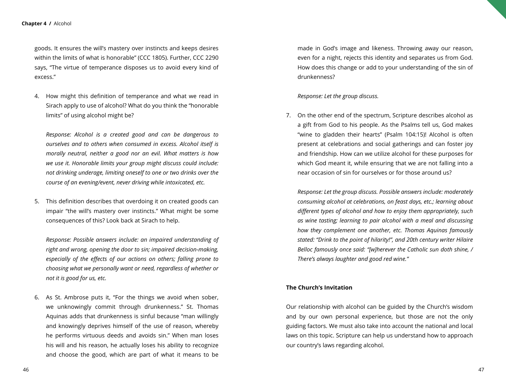goods. It ensures the will's mastery over instincts and keeps desires within the limits of what is honorable" (CCC 1805). Further, CCC 2290 says, "The virtue of temperance disposes us to avoid every kind of excess."

4. How might this definition of temperance and what we read in Sirach apply to use of alcohol? What do you think the "honorable limits" of using alcohol might be?

*Response: Alcohol is a created good and can be dangerous to ourselves and to others when consumed in excess. Alcohol itself is morally neutral, neither a good nor an evil. What matters is how we use it. Honorable limits your group might discuss could include: not drinking underage, limiting oneself to one or two drinks over the course of an evening/event, never driving while intoxicated, etc.*

5. This definition describes that overdoing it on created goods can impair "the will's mastery over instincts." What might be some consequences of this? Look back at Sirach to help.

*Response: Possible answers include: an impaired understanding of right and wrong, opening the door to sin; impaired decision-making, especially of the effects of our actions on others; falling prone to choosing what we personally want or need, regardless of whether or not it is good for us, etc.*

6. As St. Ambrose puts it, "For the things we avoid when sober, we unknowingly commit through drunkenness." St. Thomas Aquinas adds that drunkenness is sinful because "man willingly and knowingly deprives himself of the use of reason, whereby he performs virtuous deeds and avoids sin." When man loses his will and his reason, he actually loses his ability to recognize and choose the good, which are part of what it means to be

made in God's image and likeness. Throwing away our reason, even for a night, rejects this identity and separates us from God. How does this change or add to your understanding of the sin of drunkenness?

#### *Response: Let the group discuss.*

7. On the other end of the spectrum, Scripture describes alcohol as a gift from God to his people. As the Psalms tell us, God makes "wine to gladden their hearts" (Psalm 104:15)! Alcohol is often present at celebrations and social gatherings and can foster joy and friendship. How can we utilize alcohol for these purposes for which God meant it, while ensuring that we are not falling into a near occasion of sin for ourselves or for those around us?

*Response: Let the group discuss. Possible answers include: moderately consuming alcohol at celebrations, on feast days, etc.; learning about different types of alcohol and how to enjoy them appropriately, such as wine tasting; learning to pair alcohol with a meal and discussing how they complement one another, etc. Thomas Aquinas famously stated: "Drink to the point of hilarity!", and 20th century writer Hilaire Belloc famously once said: "[w]herever the Catholic sun doth shine, / There's always laughter and good red wine."*

#### **The Church's Invitation**

Our relationship with alcohol can be guided by the Church's wisdom and by our own personal experience, but those are not the only guiding factors. We must also take into account the national and local laws on this topic. Scripture can help us understand how to approach our country's laws regarding alcohol.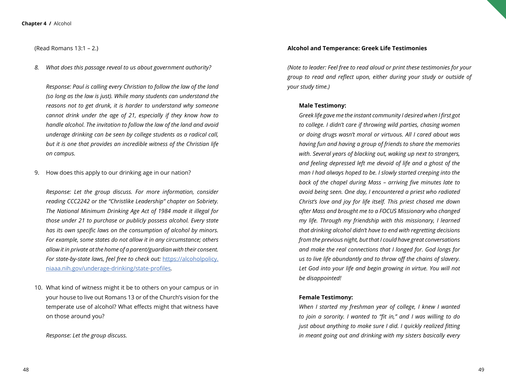(Read Romans 13:1 – 2.)

*8. What does this passage reveal to us about government authority?* 

*Response: Paul is calling every Christian to follow the law of the land (so long as the law is just). While many students can understand the reasons not to get drunk, it is harder to understand why someone cannot drink under the age of 21, especially if they know how to handle alcohol. The invitation to follow the law of the land and avoid underage drinking can be seen by college students as a radical call, but it is one that provides an incredible witness of the Christian life on campus.*

9. How does this apply to our drinking age in our nation?

*Response: Let the group discuss. For more information, consider reading CCC2242 or the "Christlike Leadership" chapter on Sobriety. The National Minimum Drinking Age Act of 1984 made it illegal for those under 21 to purchase or publicly possess alcohol. Every state has its own specific laws on the consumption of alcohol by minors. For example, some states do not allow it in any circumstance; others allow it in private at the home of a parent/guardian with their consent.*  For state-by-state laws, feel free to check out: [https://alcoholpolicy.](https://alcoholpolicy.niaaa.nih.gov/underage-drinking/state-profiles) [niaaa.nih.gov/underage-drinking/state-profiles](https://alcoholpolicy.niaaa.nih.gov/underage-drinking/state-profiles)*.*

10. What kind of witness might it be to others on your campus or in your house to live out Romans 13 or of the Church's vision for the temperate use of alcohol? What effects might that witness have on those around you?

*Response: Let the group discuss.*

#### **Alcohol and Temperance: Greek Life Testimonies**

*(Note to leader: Feel free to read aloud or print these testimonies for your group to read and reflect upon, either during your study or outside of your study time.)*

#### **Male Testimony:**

*Greek life gave me the instant community I desired when I first got to college. I didn't care if throwing wild parties, chasing women or doing drugs wasn't moral or virtuous. All I cared about was having fun and having a group of friends to share the memories with. Several years of blacking out, waking up next to strangers, and feeling depressed left me devoid of life and a ghost of the man I had always hoped to be. I slowly started creeping into the back of the chapel during Mass – arriving five minutes late to avoid being seen. One day, I encountered a priest who radiated Christ's love and joy for life itself. This priest chased me down after Mass and brought me to a FOCUS Missionary who changed my life. Through my friendship with this missionary, I learned that drinking alcohol didn't have to end with regretting decisions from the previous night, but that I could have great conversations and make the real connections that I longed for. God longs for us to live life abundantly and to throw off the chains of slavery.*  Let God into your life and begin growing in virtue. You will not *be disappointed!* 

#### **Female Testimony:**

*When I started my freshman year of college, I knew I wanted to join a sorority. I wanted to "fit in," and I was willing to do just about anything to make sure I did. I quickly realized fitting in meant going out and drinking with my sisters basically every*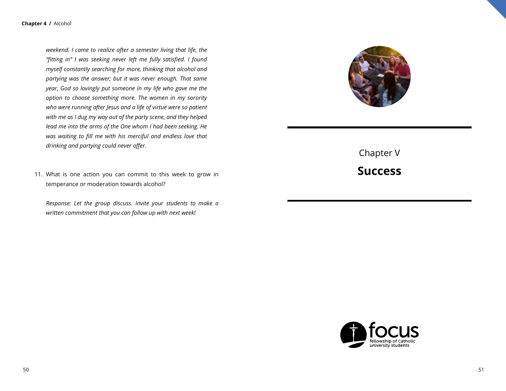*weekend. I came to realize after a semester living that life, the "fitting in" I was seeking never left me fully satisfied. I found myself constantly searching for more, thinking that alcohol and partying was the answer; but it was never enough. That same year, God so lovingly put someone in my life who gave me the option to choose something more. The women in my sorority who were running after Jesus and a life of virtue were so patient with me as I dug my way out of the party scene, and they helped lead me into the arms of the One whom I had been seeking. He was waiting to fill me with his merciful and endless love that drinking and partying could never offer.*

11. What is one action you can commit to this week to grow in temperance or moderation towards alcohol?

*Response: Let the group discuss. Invite your students to make a written commitment that you can follow up with next week!*



Chapter V **Success**

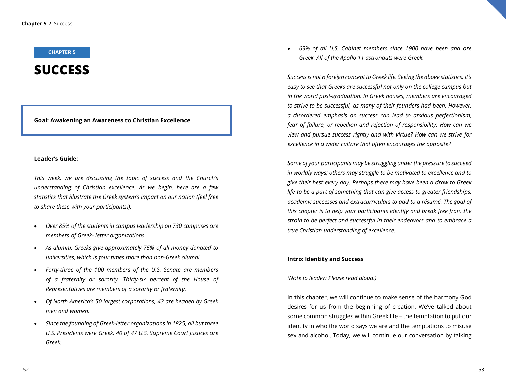#### **CHAPTER 5**

## **SUCCESS**

**Goal: Awakening an Awareness to Christian Excellence**

#### **Leader's Guide:**

*This week, we are discussing the topic of success and the Church's understanding of Christian excellence. As we begin, here are a few statistics that illustrate the Greek system's impact on our nation (feel free to share these with your participants!):*

- • *Over 85% of the students in campus leadership on 730 campuses are members of Greek- letter organizations.*
- • *As alumni, Greeks give approximately 75% of all money donated to universities, which is four times more than non-Greek alumni.*
- Forty-three of the 100 members of the U.S. Senate are members *of a fraternity or sorority. Thirty-six percent of the House of Representatives are members of a sorority or fraternity.*
- • *Of North America's 50 largest corporations, 43 are headed by Greek men and women.*
- Since the founding of Greek-letter organizations in 1825, all but three *U.S. Presidents were Greek. 40 of 47 U.S. Supreme Court Justices are Greek.*

63% of all U.S. Cabinet members since 1900 have been and are *Greek. All of the Apollo 11 astronauts were Greek.* 

*Success is not a foreign concept to Greek life. Seeing the above statistics, it's easy to see that Greeks are successful not only on the college campus but in the world post-graduation. In Greek houses, members are encouraged to strive to be successful, as many of their founders had been. However, a disordered emphasis on success can lead to anxious perfectionism, fear of failure, or rebellion and rejection of responsibility. How can we view and pursue success rightly and with virtue? How can we strive for excellence in a wider culture that often encourages the opposite?*

*Some of your participants may be struggling under the pressure to succeed in worldly ways; others may struggle to be motivated to excellence and to give their best every day. Perhaps there may have been a draw to Greek life to be a part of something that can give access to greater friendships, academic successes and extracurriculars to add to a résumé. The goal of this chapter is to help your participants identify and break free from the strain to be perfect and successful in their endeavors and to embrace a true Christian understanding of excellence.*

#### **Intro: Identity and Success**

*(Note to leader: Please read aloud.)*

In this chapter, we will continue to make sense of the harmony God desires for us from the beginning of creation. We've talked about some common struggles within Greek life – the temptation to put our identity in who the world says we are and the temptations to misuse sex and alcohol. Today, we will continue our conversation by talking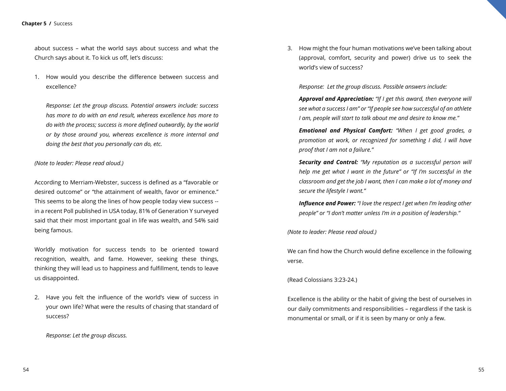#### **Chapter 5 /** Success

about success – what the world says about success and what the Church says about it. To kick us off, let's discuss:

1. How would you describe the difference between success and excellence?

*Response: Let the group discuss. Potential answers include: success has more to do with an end result, whereas excellence has more to do with the process; success is more defined outwardly, by the world or by those around you, whereas excellence is more internal and doing the best that you personally can do, etc.*

#### *(Note to leader: Please read aloud.)*

According to Merriam-Webster, success is defined as a "favorable or desired outcome" or "the attainment of wealth, favor or eminence." This seems to be along the lines of how people today view success - in a recent Poll published in USA today, 81% of Generation Y surveyed said that their most important goal in life was wealth, and 54% said being famous.

Worldly motivation for success tends to be oriented toward recognition, wealth, and fame. However, seeking these things, thinking they will lead us to happiness and fulfillment, tends to leave us disappointed.

2. Have you felt the influence of the world's view of success in your own life? What were the results of chasing that standard of success?

*Response: Let the group discuss.*

3. How might the four human motivations we've been talking about (approval, comfort, security and power) drive us to seek the world's view of success?

*Response: Let the group discuss. Possible answers include:*

*Approval and Appreciation: "If I get this award, then everyone will see what a success I am" or "If people see how successful of an athlete I am, people will start to talk about me and desire to know me."*

*Emotional and Physical Comfort: "When I get good grades, a promotion at work, or recognized for something I did, I will have proof that I am not a failure."*

*Security and Control: "My reputation as a successful person will help me get what I want in the future" or "If I'm successful in the classroom and get the job I want, then I can make a lot of money and secure the lifestyle I want."*

*Influence and Power: "I love the respect I get when I'm leading other people" or "I don't matter unless I'm in a position of leadership."*

*(Note to leader: Please read aloud.)*

We can find how the Church would define excellence in the following verse.

(Read Colossians 3:23-24.)

Excellence is the ability or the habit of giving the best of ourselves in our daily commitments and responsibilities – regardless if the task is monumental or small, or if it is seen by many or only a few.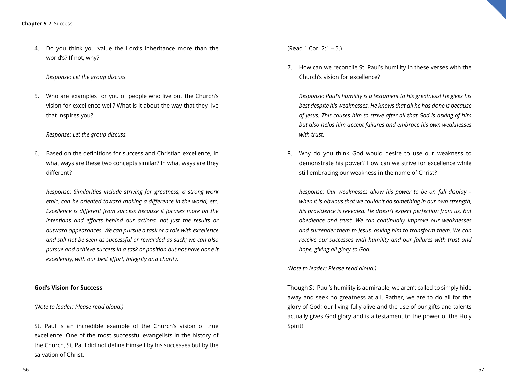4. Do you think you value the Lord's inheritance more than the world's? If not, why?

#### *Response: Let the group discuss.*

5. Who are examples for you of people who live out the Church's vision for excellence well? What is it about the way that they live that inspires you?

#### *Response: Let the group discuss.*

6. Based on the definitions for success and Christian excellence, in what ways are these two concepts similar? In what ways are they different?

*Response: Similarities include striving for greatness, a strong work ethic, can be oriented toward making a difference in the world, etc. Excellence is different from success because it focuses more on the intentions and efforts behind our actions, not just the results or outward appearances. We can pursue a task or a role with excellence and still not be seen as successful or rewarded as such; we can also pursue and achieve success in a task or position but not have done it excellently, with our best effort, integrity and charity.*

#### **God's Vision for Success**

#### *(Note to leader: Please read aloud.)*

St. Paul is an incredible example of the Church's vision of true excellence. One of the most successful evangelists in the history of the Church, St. Paul did not define himself by his successes but by the salvation of Christ.

(Read 1 Cor. 2:1 – 5.)

7. How can we reconcile St. Paul's humility in these verses with the Church's vision for excellence?

*Response: Paul's humility is a testament to his greatness! He gives his best despite his weaknesses. He knows that all he has done is because of Jesus. This causes him to strive after all that God is asking of him but also helps him accept failures and embrace his own weaknesses with trust.*

8. Why do you think God would desire to use our weakness to demonstrate his power? How can we strive for excellence while still embracing our weakness in the name of Christ?

*Response: Our weaknesses allow his power to be on full display – when it is obvious that we couldn't do something in our own strength, his providence is revealed. He doesn't expect perfection from us, but obedience and trust. We can continually improve our weaknesses and surrender them to Jesus, asking him to transform them. We can receive our successes with humility and our failures with trust and hope, giving all glory to God.*

*(Note to leader: Please read aloud.)*

Though St. Paul's humility is admirable, we aren't called to simply hide away and seek no greatness at all. Rather, we are to do all for the glory of God; our living fully alive and the use of our gifts and talents actually gives God glory and is a testament to the power of the Holy Spirit!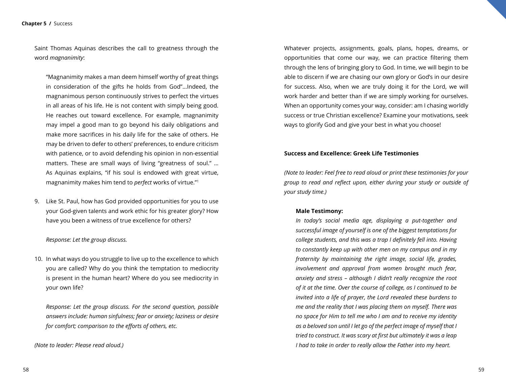Saint Thomas Aquinas describes the call to greatness through the word *magnanimity*:

"Magnanimity makes a man deem himself worthy of great things in consideration of the gifts he holds from God"…Indeed, the magnanimous person continuously strives to perfect the virtues in all areas of his life. He is not content with simply being good. He reaches out toward excellence. For example, magnanimity may impel a good man to go beyond his daily obligations and make more sacrifices in his daily life for the sake of others. He may be driven to defer to others' preferences, to endure criticism with patience, or to avoid defending his opinion in non-essential matters. These are small ways of living "greatness of soul." … As Aquinas explains, "if his soul is endowed with great virtue, magnanimity makes him tend to *perfect* works of virtue."1

9. Like St. Paul, how has God provided opportunities for you to use your God-given talents and work ethic for his greater glory? How have you been a witness of true excellence for others?

*Response: Let the group discuss.*

10. In what ways do you struggle to live up to the excellence to which you are called? Why do you think the temptation to mediocrity is present in the human heart? Where do you see mediocrity in your own life?

*Response: Let the group discuss. For the second question, possible answers include: human sinfulness; fear or anxiety; laziness or desire for comfort; comparison to the efforts of others, etc.*

*(Note to leader: Please read aloud.)*

Whatever projects, assignments, goals, plans, hopes, dreams, or opportunities that come our way, we can practice filtering them through the lens of bringing glory to God. In time, we will begin to be able to discern if we are chasing our own glory or God's in our desire for success. Also, when we are truly doing it for the Lord, we will work harder and better than if we are simply working for ourselves. When an opportunity comes your way, consider: am I chasing worldly success or true Christian excellence? Examine your motivations, seek ways to glorify God and give your best in what you choose!

#### **Success and Excellence: Greek Life Testimonies**

*(Note to leader: Feel free to read aloud or print these testimonies for your group to read and reflect upon, either during your study or outside of your study time.)*

#### **Male Testimony:**

*In today's social media age, displaying a put-together and successful image of yourself is one of the biggest temptations for college students, and this was a trap I definitely fell into. Having to constantly keep up with other men on my campus and in my fraternity by maintaining the right image, social life, grades, involvement and approval from women brought much fear, anxiety and stress – although I didn't really recognize the root of it at the time. Over the course of college, as I continued to be invited into a life of prayer, the Lord revealed these burdens to me and the reality that I was placing them on myself. There was no space for Him to tell me who I am and to receive my identity as a beloved son until I let go of the perfect image of myself that I tried to construct. It was scary at first but ultimately it was a leap I had to take in order to really allow the Father into my heart.*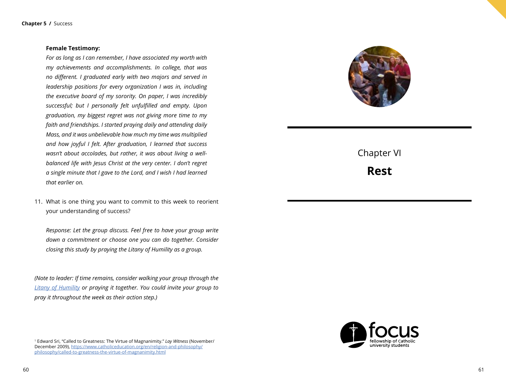#### **Female Testimony:**

*For as long as I can remember, I have associated my worth with my achievements and accomplishments. In college, that was no different. I graduated early with two majors and served in leadership positions for every organization I was in, including the executive board of my sorority. On paper, I was incredibly successful; but I personally felt unfulfilled and empty. Upon graduation, my biggest regret was not giving more time to my faith and friendships. I started praying daily and attending daily Mass, and it was unbelievable how much my time was multiplied and how joyful I felt. After graduation, I learned that success wasn't about accolades, but rather, it was about living a wellbalanced life with Jesus Christ at the very center. I don't regret a single minute that I gave to the Lord, and I wish I had learned that earlier on.* 

11. What is one thing you want to commit to this week to reorient your understanding of success?

*Response: Let the group discuss. Feel free to have your group write down a commitment or choose one you can do together. Consider closing this study by praying the Litany of Humility as a group.* 

*(Note to leader: If time remains, consider walking your group through the [Litany of Humility](https://www.ewtn.com/catholicism/devotions/litany-of-humility-245) or praying it together. You could invite your group to pray it throughout the week as their action step.)*

1 Edward Sri, "Called to Greatness: The Virtue of Magnanimity." *Lay Witness* (November/ December 2009), [https://www.catholiceducation.org/en/religion-and-philosophy/](https://www.catholiceducation.org/en/religion-and-philosophy/philosophy/called-to-greatness-the-virtue-of-magnanimity.html) [philosophy/called-to-greatness-the-virtue-of-magnanimity.html](https://www.catholiceducation.org/en/religion-and-philosophy/philosophy/called-to-greatness-the-virtue-of-magnanimity.html)



Chapter VI

**Rest**

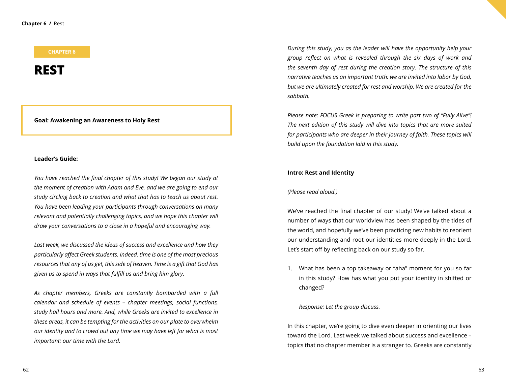#### **CHAPTER 6**

### **REST**

#### **Goal: Awakening an Awareness to Holy Rest**

#### **Leader's Guide:**

*You have reached the final chapter of this study! We began our study at the moment of creation with Adam and Eve, and we are going to end our study circling back to creation and what that has to teach us about rest. You have been leading your participants through conversations on many relevant and potentially challenging topics, and we hope this chapter will draw your conversations to a close in a hopeful and encouraging way.* 

*Last week, we discussed the ideas of success and excellence and how they particularly affect Greek students. Indeed, time is one of the most precious resources that any of us get, this side of heaven. Time is a gift that God has given us to spend in ways that fulfill us and bring him glory.* 

*As chapter members, Greeks are constantly bombarded with a full calendar and schedule of events – chapter meetings, social functions, study hall hours and more. And, while Greeks are invited to excellence in these areas, it can be tempting for the activities on our plate to overwhelm our identity and to crowd out any time we may have left for what is most important: our time with the Lord.*

*During this study, you as the leader will have the opportunity help your group reflect on what is revealed through the six days of work and the seventh day of rest during the creation story. The structure of this narrative teaches us an important truth: we are invited into labor by God, but we are ultimately created for rest and worship. We are created for the sabbath.*

*Please note: FOCUS Greek is preparing to write part two of "Fully Alive"! The next edition of this study will dive into topics that are more suited for participants who are deeper in their journey of faith. These topics will build upon the foundation laid in this study.* 

#### **Intro: Rest and Identity**

#### *(Please read aloud.)*

We've reached the final chapter of our study! We've talked about a number of ways that our worldview has been shaped by the tides of the world, and hopefully we've been practicing new habits to reorient our understanding and root our identities more deeply in the Lord. Let's start off by reflecting back on our study so far.

1. What has been a top takeaway or "aha" moment for you so far in this study? How has what you put your identity in shifted or changed?

#### *Response: Let the group discuss.*

In this chapter, we're going to dive even deeper in orienting our lives toward the Lord. Last week we talked about success and excellence – topics that no chapter member is a stranger to. Greeks are constantly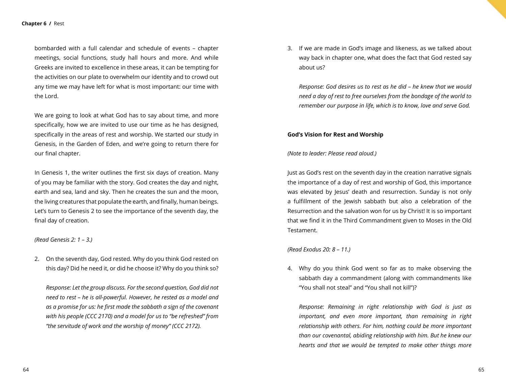bombarded with a full calendar and schedule of events – chapter meetings, social functions, study hall hours and more. And while Greeks are invited to excellence in these areas, it can be tempting for the activities on our plate to overwhelm our identity and to crowd out any time we may have left for what is most important: our time with the Lord.

We are going to look at what God has to say about time, and more specifically, how we are invited to use our time as he has designed, specifically in the areas of rest and worship. We started our study in Genesis, in the Garden of Eden, and we're going to return there for our final chapter.

In Genesis 1, the writer outlines the first six days of creation. Many of you may be familiar with the story. God creates the day and night, earth and sea, land and sky. Then he creates the sun and the moon, the living creatures that populate the earth, and finally, human beings. Let's turn to Genesis 2 to see the importance of the seventh day, the final day of creation.

#### *(Read Genesis 2: 1 – 3.)*

2. On the seventh day, God rested. Why do you think God rested on this day? Did he need it, or did he choose it? Why do you think so?

*Response: Let the group discuss. For the second question, God did not need to rest – he is all-powerful. However, he rested as a model and as a promise for us: he first made the sabbath a sign of the covenant with his people (CCC 2170) and a model for us to "be refreshed" from "the servitude of work and the worship of money" (CCC 2172).*

3. If we are made in God's image and likeness, as we talked about way back in chapter one, what does the fact that God rested say about us?

*Response: God desires us to rest as he did – he knew that we would need a day of rest to free ourselves from the bondage of the world to remember our purpose in life, which is to know, love and serve God.*

#### **God's Vision for Rest and Worship**

#### *(Note to leader: Please read aloud.)*

Just as God's rest on the seventh day in the creation narrative signals the importance of a day of rest and worship of God, this importance was elevated by Jesus' death and resurrection. Sunday is not only a fulfillment of the Jewish sabbath but also a celebration of the Resurrection and the salvation won for us by Christ! It is so important that we find it in the Third Commandment given to Moses in the Old Testament.

#### *(Read Exodus 20: 8 – 11.)*

4. Why do you think God went so far as to make observing the sabbath day a commandment (along with commandments like "You shall not steal" and "You shall not kill")?

*Response: Remaining in right relationship with God is just as important, and even more important, than remaining in right relationship with others. For him, nothing could be more important than our covenantal, abiding relationship with him. But he knew our hearts and that we would be tempted to make other things more*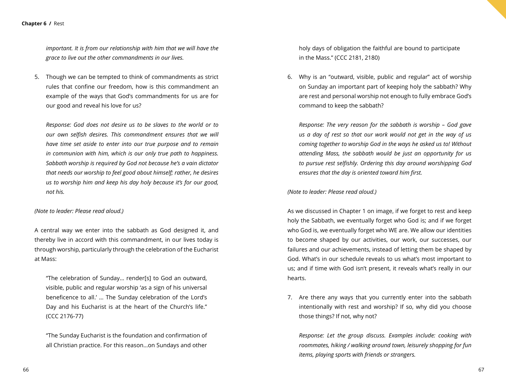#### **Chapter 6 /** Rest

*important. It is from our relationship with him that we will have the grace to live out the other commandments in our lives.*

5. Though we can be tempted to think of commandments as strict rules that confine our freedom, how is this commandment an example of the ways that God's commandments for us are for our good and reveal his love for us?

*Response: God does not desire us to be slaves to the world or to our own selfish desires. This commandment ensures that we will have time set aside to enter into our true purpose and to remain in communion with him, which is our only true path to happiness. Sabbath worship is required by God not because he's a vain dictator that needs our worship to feel good about himself; rather, he desires us to worship him and keep his day holy because it's for our good, not his.*

#### *(Note to leader: Please read aloud.)*

A central way we enter into the sabbath as God designed it, and thereby live in accord with this commandment, in our lives today is through worship, particularly through the celebration of the Eucharist at Mass:

"The celebration of Sunday… render[s] to God an outward, visible, public and regular worship 'as a sign of his universal beneficence to all.' … The Sunday celebration of the Lord's Day and his Eucharist is at the heart of the Church's life." (CCC 2176-77)

"The Sunday Eucharist is the foundation and confirmation of all Christian practice. For this reason…on Sundays and other

holy days of obligation the faithful are bound to participate in the Mass." (CCC 2181, 2180)

6. Why is an "outward, visible, public and regular" act of worship on Sunday an important part of keeping holy the sabbath? Why are rest and personal worship not enough to fully embrace God's command to keep the sabbath?

*Response: The very reason for the sabbath is worship – God gave us a day of rest so that our work would not get in the way of us coming together to worship God in the ways he asked us to! Without attending Mass, the sabbath would be just an opportunity for us to pursue rest selfishly. Ordering this day around worshipping God ensures that the day is oriented toward him first.*

*(Note to leader: Please read aloud.)*

As we discussed in Chapter 1 on image, if we forget to rest and keep holy the Sabbath, we eventually forget who God is; and if we forget who God is, we eventually forget who WE are. We allow our identities to become shaped by our activities, our work, our successes, our failures and our achievements, instead of letting them be shaped by God. What's in our schedule reveals to us what's most important to us; and if time with God isn't present, it reveals what's really in our hearts.

7. Are there any ways that you currently enter into the sabbath intentionally with rest and worship? If so, why did you choose those things? If not, why not?

*Response: Let the group discuss. Examples include: cooking with roommates, hiking / walking around town, leisurely shopping for fun items, playing sports with friends or strangers.*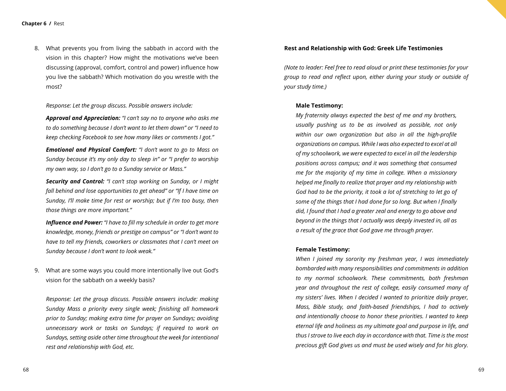8. What prevents you from living the sabbath in accord with the vision in this chapter? How might the motivations we've been discussing (approval, comfort, control and power) influence how you live the sabbath? Which motivation do you wrestle with the most?

*Response: Let the group discuss. Possible answers include:* 

*Approval and Appreciation: "I can't say no to anyone who asks me to do something because I don't want to let them down" or "I need to keep checking Facebook to see how many likes or comments I got."* 

*Emotional and Physical Comfort: "I don't want to go to Mass on Sunday because it's my only day to sleep in" or "I prefer to worship my own way, so I don't go to a Sunday service or Mass."* 

*Security and Control: "I can't stop working on Sunday, or I might fall behind and lose opportunities to get ahead" or "If I have time on Sunday, I'll make time for rest or worship; but if I'm too busy, then those things are more important."*

*Influence and Power: "I have to fill my schedule in order to get more knowledge, money, friends or prestige on campus" or "I don't want to have to tell my friends, coworkers or classmates that I can't meet on Sunday because I don't want to look weak."*

9. What are some ways you could more intentionally live out God's vision for the sabbath on a weekly basis?

*Response: Let the group discuss. Possible answers include: making Sunday Mass a priority every single week; finishing all homework prior to Sunday; making extra time for prayer on Sundays; avoiding unnecessary work or tasks on Sundays; if required to work on Sundays, setting aside other time throughout the week for intentional rest and relationship with God, etc.*

#### **Rest and Relationship with God: Greek Life Testimonies**

*(Note to leader: Feel free to read aloud or print these testimonies for your group to read and reflect upon, either during your study or outside of your study time.)*

#### **Male Testimony:**

*My fraternity always expected the best of me and my brothers, usually pushing us to be as involved as possible, not only within our own organization but also in all the high-profile organizations on campus. While I was also expected to excel at all of my schoolwork, we were expected to excel in all the leadership positions across campus; and it was something that consumed me for the majority of my time in college. When a missionary helped me finally to realize that prayer and my relationship with God had to be the priority, it took a lot of stretching to let go of some of the things that I had done for so long. But when I finally did, I found that I had a greater zeal and energy to go above and beyond in the things that I actually was deeply invested in, all as a result of the grace that God gave me through prayer.*

#### **Female Testimony:**

*When I joined my sorority my freshman year, I was immediately bombarded with many responsibilities and commitments in addition to my normal schoolwork. These commitments, both freshman year and throughout the rest of college, easily consumed many of my sisters' lives. When I decided I wanted to prioritize daily prayer, Mass, Bible study, and faith-based friendships, I had to actively and intentionally choose to honor these priorities. I wanted to keep eternal life and holiness as my ultimate goal and purpose in life, and thus I strove to live each day in accordance with that. Time is the most precious gift God gives us and must be used wisely and for his glory.*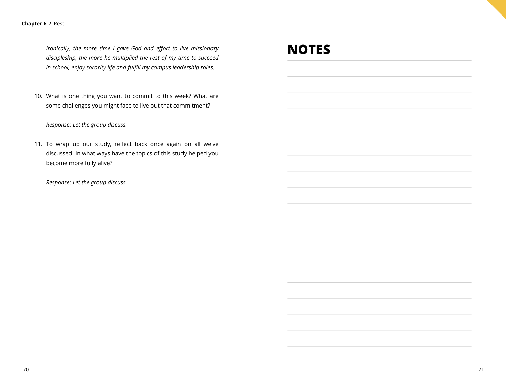#### **Chapter 6 /** Rest

*Ironically, the more time I gave God and effort to live missionary discipleship, the more he multiplied the rest of my time to succeed in school, enjoy sorority life and fulfill my campus leadership roles.*

10. What is one thing you want to commit to this week? What are some challenges you might face to live out that commitment?

*Response: Let the group discuss.*

11. To wrap up our study, reflect back once again on all we've discussed. In what ways have the topics of this study helped you become more fully alive?

*Response: Let the group discuss.*

### **NOTES**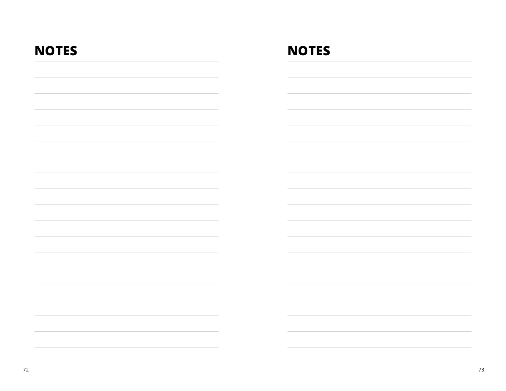| <b>NOTES</b> | <b>NOTES</b> |
|--------------|--------------|
|              |              |
|              |              |
|              |              |
|              |              |
|              |              |
|              |              |
|              |              |
|              |              |
|              |              |
|              |              |
|              |              |
|              |              |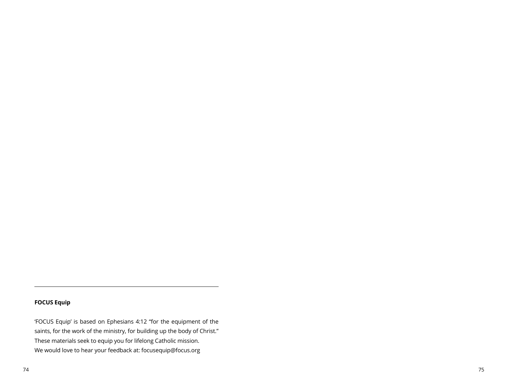#### **FOCUS Equip**

'FOCUS Equip' is based on Ephesians 4:12 "for the equipment of the saints, for the work of the ministry, for building up the body of Christ." These materials seek to equip you for lifelong Catholic mission. We would love to hear your feedback at: focusequip@focus.org